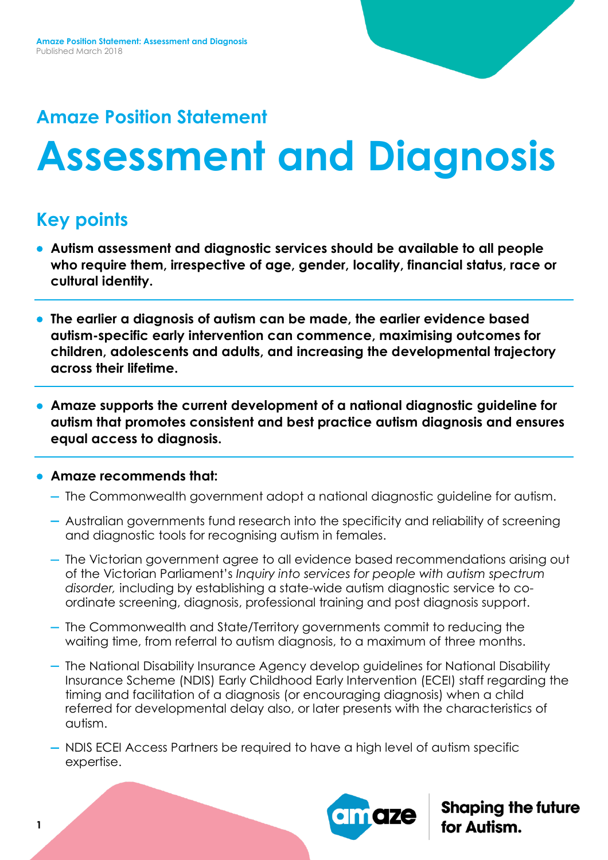# **Amaze Position Statement**

# **Assessment and Diagnosis**

# **Key points**

- **Autism assessment and diagnostic services should be available to all people who require them, irrespective of age, gender, locality, financial status, race or cultural identity.**
- **The earlier a diagnosis of autism can be made, the earlier evidence based autism-specific early intervention can commence, maximising outcomes for children, adolescents and adults, and increasing the developmental trajectory across their lifetime.**
- **Amaze supports the current development of a national diagnostic guideline for autism that promotes consistent and best practice autism diagnosis and ensures equal access to diagnosis.**

## **Amaze recommends that:**

- The Commonwealth government adopt a national diagnostic guideline for autism.
- Australian governments fund research into the specificity and reliability of screening and diagnostic tools for recognising autism in females.
- The Victorian government agree to all evidence based recommendations arising out of the Victorian Parliament's *Inquiry into services for people with autism spectrum disorder,* including by establishing a state-wide autism diagnostic service to coordinate screening, diagnosis, professional training and post diagnosis support.
- The Commonwealth and State/Territory governments commit to reducing the waiting time, from referral to autism diagnosis, to a maximum of three months.
- The National Disability Insurance Agency develop guidelines for National Disability Insurance Scheme (NDIS) Early Childhood Early Intervention (ECEI) staff regarding the timing and facilitation of a diagnosis (or encouraging diagnosis) when a child referred for developmental delay also, or later presents with the characteristics of autism.
- NDIS ECEI Access Partners be required to have a high level of autism specific expertise.

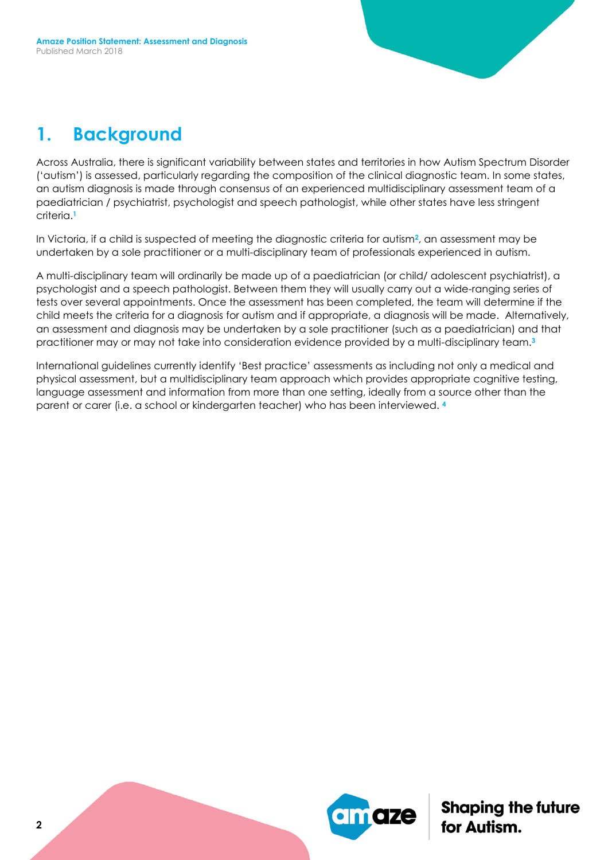# **1. Background**

Across Australia, there is significant variability between states and territories in how Autism Spectrum Disorder ('autism') is assessed, particularly regarding the composition of the clinical diagnostic team. In some states, an autism diagnosis is made through consensus of an experienced multidisciplinary assessment team of a paediatrician / psychiatrist, psychologist and speech pathologist, while other states have less stringent criteria.**<sup>1</sup>**

In Victoria, if a child is suspected of meeting the diagnostic criteria for autism**2**, an assessment may be undertaken by a sole practitioner or a multi-disciplinary team of professionals experienced in autism.

A multi-disciplinary team will ordinarily be made up of a paediatrician (or child/ adolescent psychiatrist), a psychologist and a speech pathologist. Between them they will usually carry out a wide-ranging series of tests over several appointments. Once the assessment has been completed, the team will determine if the child meets the criteria for a diagnosis for autism and if appropriate, a diagnosis will be made. Alternatively, an assessment and diagnosis may be undertaken by a sole practitioner (such as a paediatrician) and that practitioner may or may not take into consideration evidence provided by a multi-disciplinary team.**<sup>3</sup>**

International guidelines currently identify 'Best practice' assessments as including not only a medical and physical assessment, but a multidisciplinary team approach which provides appropriate cognitive testing, language assessment and information from more than one setting, ideally from a source other than the parent or carer (i.e. a school or kindergarten teacher) who has been interviewed. **4**

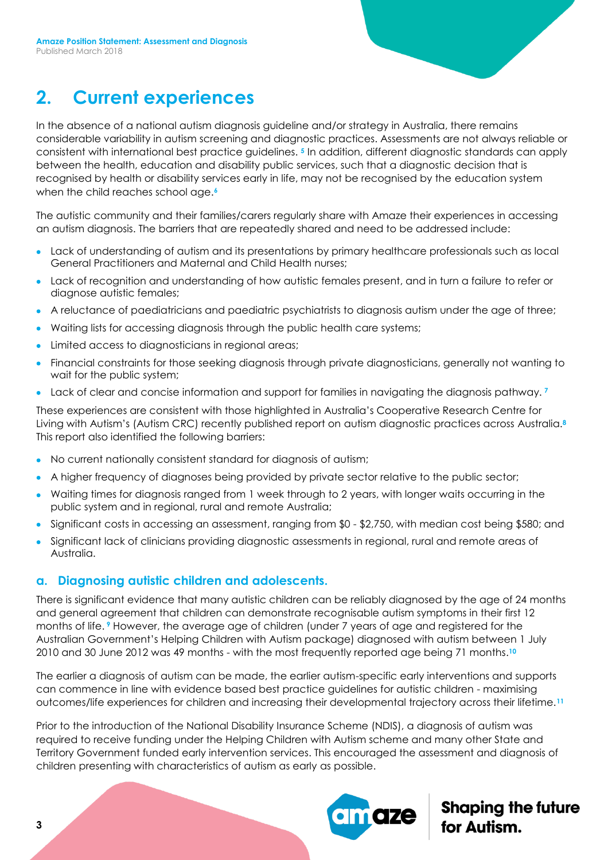# **2. Current experiences**

In the absence of a national autism diagnosis guideline and/or strategy in Australia, there remains considerable variability in autism screening and diagnostic practices. Assessments are not always reliable or consistent with international best practice guidelines. **<sup>5</sup>** In addition, different diagnostic standards can apply between the health, education and disability public services, such that a diagnostic decision that is recognised by health or disability services early in life, may not be recognised by the education system when the child reaches school age.**<sup>6</sup>**

The autistic community and their families/carers regularly share with Amaze their experiences in accessing an autism diagnosis. The barriers that are repeatedly shared and need to be addressed include:

- Lack of understanding of autism and its presentations by primary healthcare professionals such as local General Practitioners and Maternal and Child Health nurses;
- Lack of recognition and understanding of how autistic females present, and in turn a failure to refer or diagnose autistic females;
- A reluctance of paediatricians and paediatric psychiatrists to diagnosis autism under the age of three;
- Waiting lists for accessing diagnosis through the public health care systems;
- Limited access to diagnosticians in regional areas;
- Financial constraints for those seeking diagnosis through private diagnosticians, generally not wanting to wait for the public system;
- Lack of clear and concise information and support for families in navigating the diagnosis pathway. **<sup>7</sup>**

These experiences are consistent with those highlighted in Australia's Cooperative Research Centre for Living with Autism's (Autism CRC) recently published report on autism diagnostic practices across Australia.**<sup>8</sup>** This report also identified the following barriers:

- No current nationally consistent standard for diagnosis of autism;
- A higher frequency of diagnoses being provided by private sector relative to the public sector;
- Waiting times for diagnosis ranged from 1 week through to 2 years, with longer waits occurring in the public system and in regional, rural and remote Australia;
- Significant costs in accessing an assessment, ranging from \$0 \$2,750, with median cost being \$580; and
- Significant lack of clinicians providing diagnostic assessments in regional, rural and remote areas of Australia.

#### **a. Diagnosing autistic children and adolescents.**

There is significant evidence that many autistic children can be reliably diagnosed by the age of 24 months and general agreement that children can demonstrate recognisable autism symptoms in their first 12 months of life. **<sup>9</sup>** However, the average age of children (under 7 years of age and registered for the Australian Government's Helping Children with Autism package) diagnosed with autism between 1 July 2010 and 30 June 2012 was 49 months - with the most frequently reported age being 71 months. **10**

The earlier a diagnosis of autism can be made, the earlier autism-specific early interventions and supports can commence in line with evidence based best practice guidelines for autistic children - maximising outcomes/life experiences for children and increasing their developmental trajectory across their lifetime.**<sup>11</sup>**

Prior to the introduction of the National Disability Insurance Scheme (NDIS), a diagnosis of autism was required to receive funding under the Helping Children with Autism scheme and many other State and Territory Government funded early intervention services. This encouraged the assessment and diagnosis of children presenting with characteristics of autism as early as possible.

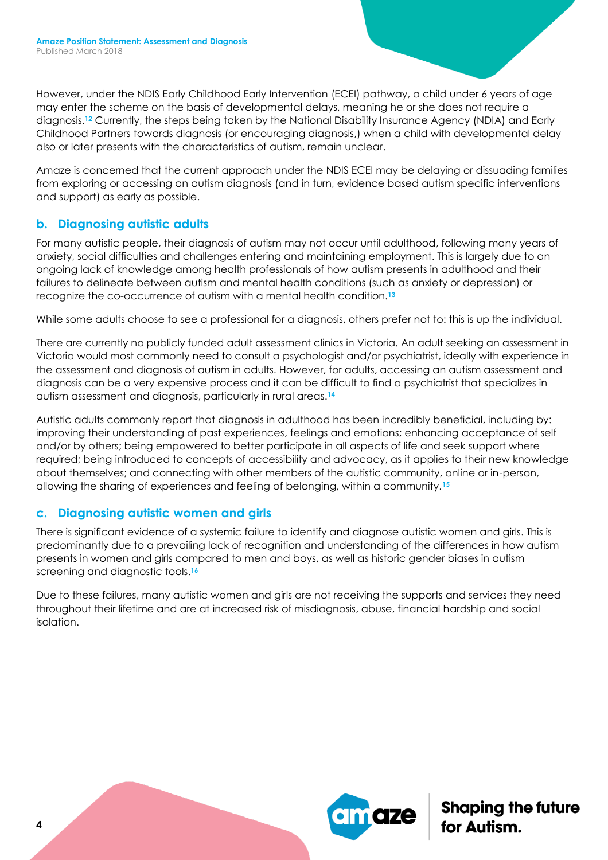However, under the NDIS Early Childhood Early Intervention (ECEI) pathway, a child under 6 years of age may enter the scheme on the basis of developmental delays, meaning he or she does not require a diagnosis.**<sup>12</sup>** Currently, the steps being taken by the National Disability Insurance Agency (NDIA) and Early Childhood Partners towards diagnosis (or encouraging diagnosis,) when a child with developmental delay also or later presents with the characteristics of autism, remain unclear.

Amaze is concerned that the current approach under the NDIS ECEI may be delaying or dissuading families from exploring or accessing an autism diagnosis (and in turn, evidence based autism specific interventions and support) as early as possible.

## **b. Diagnosing autistic adults**

For many autistic people, their diagnosis of autism may not occur until adulthood, following many years of anxiety, social difficulties and challenges entering and maintaining employment. This is largely due to an ongoing lack of knowledge among health professionals of how autism presents in adulthood and their failures to delineate between autism and mental health conditions (such as anxiety or depression) or recognize the co-occurrence of autism with a mental health condition.**<sup>13</sup>**

While some adults choose to see a professional for a diagnosis, others prefer not to: this is up the individual.

There are currently no publicly funded adult assessment clinics in Victoria. An adult seeking an assessment in Victoria would most commonly need to consult a psychologist and/or psychiatrist, ideally with experience in the assessment and diagnosis of autism in adults. However, for adults, accessing an autism assessment and diagnosis can be a very expensive process and it can be difficult to find a psychiatrist that specializes in autism assessment and diagnosis, particularly in rural areas.**<sup>14</sup>**

Autistic adults commonly report that diagnosis in adulthood has been incredibly beneficial, including by: improving their understanding of past experiences, feelings and emotions; enhancing acceptance of self and/or by others; being empowered to better participate in all aspects of life and seek support where required; being introduced to concepts of accessibility and advocacy, as it applies to their new knowledge about themselves; and connecting with other members of the autistic community, online or in-person, allowing the sharing of experiences and feeling of belonging, within a community.**<sup>15</sup>**

## **c. Diagnosing autistic women and girls**

There is significant evidence of a systemic failure to identify and diagnose autistic women and girls. This is predominantly due to a prevailing lack of recognition and understanding of the differences in how autism presents in women and girls compared to men and boys, as well as historic gender biases in autism screening and diagnostic tools.**<sup>16</sup>**

Due to these failures, many autistic women and girls are not receiving the supports and services they need throughout their lifetime and are at increased risk of misdiagnosis, abuse, financial hardship and social isolation.

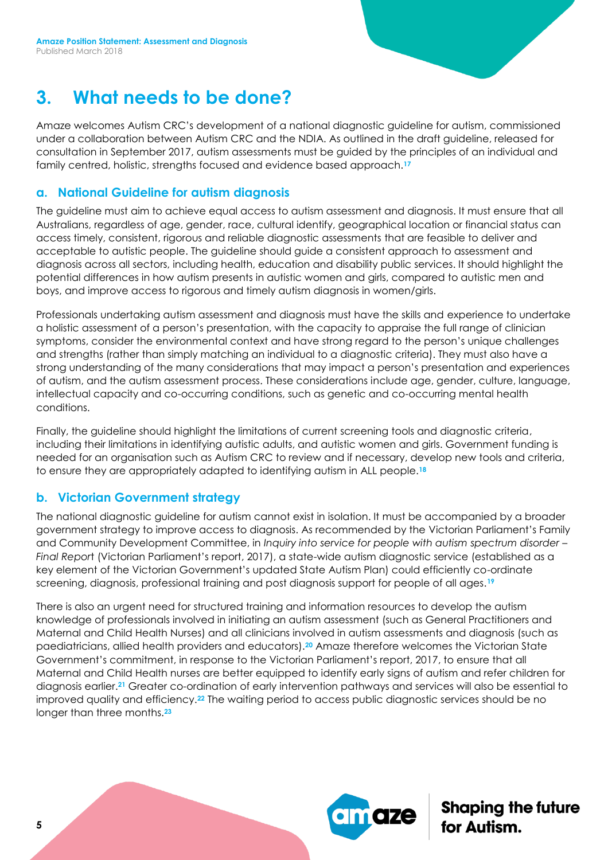## **3. What needs to be done?**

Amaze welcomes Autism CRC's development of a national diagnostic guideline for autism, commissioned under a collaboration between Autism CRC and the NDIA. As outlined in the draft guideline, released for consultation in September 2017, autism assessments must be guided by the principles of an individual and family centred, holistic, strengths focused and evidence based approach.**<sup>17</sup>**

#### **a. National Guideline for autism diagnosis**

The guideline must aim to achieve equal access to autism assessment and diagnosis. It must ensure that all Australians, regardless of age, gender, race, cultural identify, geographical location or financial status can access timely, consistent, rigorous and reliable diagnostic assessments that are feasible to deliver and acceptable to autistic people. The guideline should guide a consistent approach to assessment and diagnosis across all sectors, including health, education and disability public services. It should highlight the potential differences in how autism presents in autistic women and girls, compared to autistic men and boys, and improve access to rigorous and timely autism diagnosis in women/girls.

Professionals undertaking autism assessment and diagnosis must have the skills and experience to undertake a holistic assessment of a person's presentation, with the capacity to appraise the full range of clinician symptoms, consider the environmental context and have strong regard to the person's unique challenges and strengths (rather than simply matching an individual to a diagnostic criteria). They must also have a strong understanding of the many considerations that may impact a person's presentation and experiences of autism, and the autism assessment process. These considerations include age, gender, culture, language, intellectual capacity and co-occurring conditions, such as genetic and co-occurring mental health conditions.

Finally, the guideline should highlight the limitations of current screening tools and diagnostic criteria, including their limitations in identifying autistic adults, and autistic women and girls. Government funding is needed for an organisation such as Autism CRC to review and if necessary, develop new tools and criteria, to ensure they are appropriately adapted to identifying autism in ALL people.**<sup>18</sup>**

## **b. Victorian Government strategy**

The national diagnostic guideline for autism cannot exist in isolation. It must be accompanied by a broader government strategy to improve access to diagnosis. As recommended by the Victorian Parliament's Family and Community Development Committee, in *Inquiry into service for people with autism spectrum disorder – Final Repor*t (Victorian Parliament's report, 2017), a state-wide autism diagnostic service (established as a key element of the Victorian Government's updated State Autism Plan) could efficiently co-ordinate screening, diagnosis, professional training and post diagnosis support for people of all ages.**<sup>19</sup>**

There is also an urgent need for structured training and information resources to develop the autism knowledge of professionals involved in initiating an autism assessment (such as General Practitioners and Maternal and Child Health Nurses) and all clinicians involved in autism assessments and diagnosis (such as paediatricians, allied health providers and educators).**<sup>20</sup>** Amaze therefore welcomes the Victorian State Government's commitment, in response to the Victorian Parliament's report, 2017, to ensure that all Maternal and Child Health nurses are better equipped to identify early signs of autism and refer children for diagnosis earlier.**<sup>21</sup>** Greater co-ordination of early intervention pathways and services will also be essential to improved quality and efficiency.**<sup>22</sup>** The waiting period to access public diagnostic services should be no longer than three months.**23**

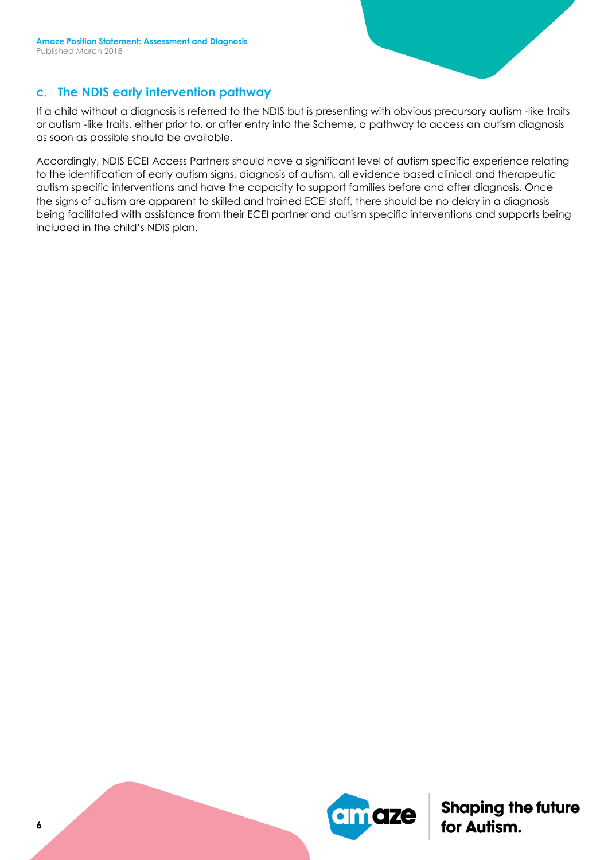#### **c. The NDIS early intervention pathway**

If a child without a diagnosis is referred to the NDIS but is presenting with obvious precursory autism -like traits or autism -like traits, either prior to, or after entry into the Scheme, a pathway to access an autism diagnosis as soon as possible should be available.

Accordingly, NDIS ECEI Access Partners should have a significant level of autism specific experience relating to the identification of early autism signs, diagnosis of autism, all evidence based clinical and therapeutic autism specific interventions and have the capacity to support families before and after diagnosis. Once the signs of autism are apparent to skilled and trained ECEI staff, there should be no delay in a diagnosis being facilitated with assistance from their ECEI partner and autism specific interventions and supports being included in the child's NDIS plan.

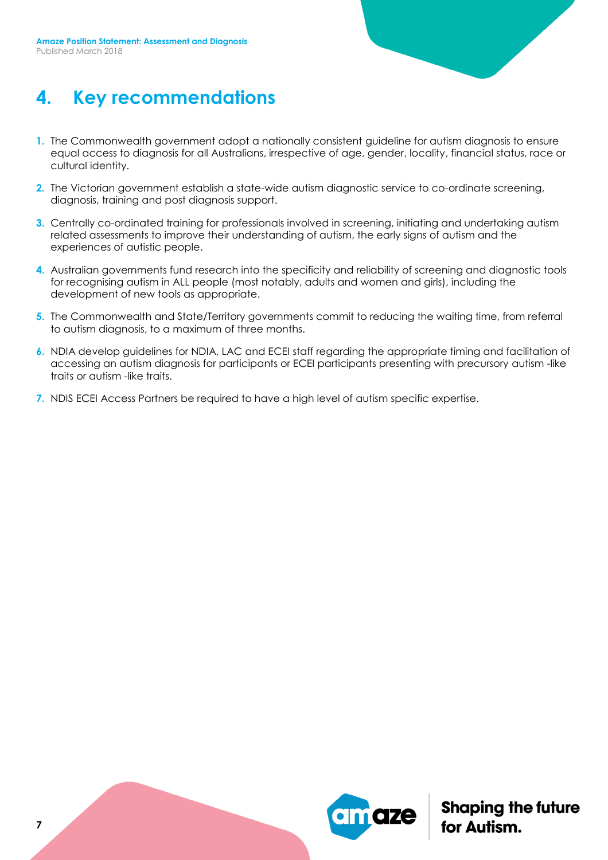

## **4. Key recommendations**

- **1.** The Commonwealth government adopt a nationally consistent guideline for autism diagnosis to ensure equal access to diagnosis for all Australians, irrespective of age, gender, locality, financial status, race or cultural identity.
- **2.** The Victorian government establish a state-wide autism diagnostic service to co-ordinate screening, diagnosis, training and post diagnosis support.
- **3.** Centrally co-ordinated training for professionals involved in screening, initiating and undertaking autism related assessments to improve their understanding of autism, the early signs of autism and the experiences of autistic people.
- **4.** Australian governments fund research into the specificity and reliability of screening and diagnostic tools for recognising autism in ALL people (most notably, adults and women and girls), including the development of new tools as appropriate.
- **5.** The Commonwealth and State/Territory governments commit to reducing the waiting time, from referral to autism diagnosis, to a maximum of three months.
- **6.** NDIA develop guidelines for NDIA, LAC and ECEI staff regarding the appropriate timing and facilitation of accessing an autism diagnosis for participants or ECEI participants presenting with precursory autism -like traits or autism -like traits.
- **7.** NDIS ECEI Access Partners be required to have a high level of autism specific expertise.



**Shaping the future**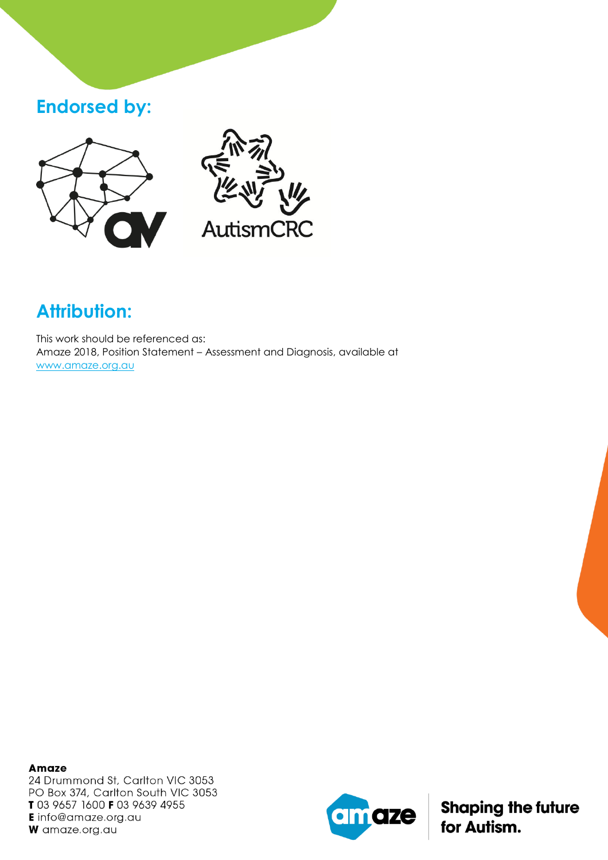## **Endorsed by:**





# **Attribution:**

This work should be referenced as: Amaze 2018, Position Statement – Assessment and Diagnosis, available at [www.amaze.org.au](http://www.amaze.org.au/)

**Amaze** 24 Drummond St, Carlton VIC 3053 PO Box 374, Carlton South VIC 3053 T 03 9657 1600 F 03 9639 4955 **E** info@amaze.org.au W amaze.org.au

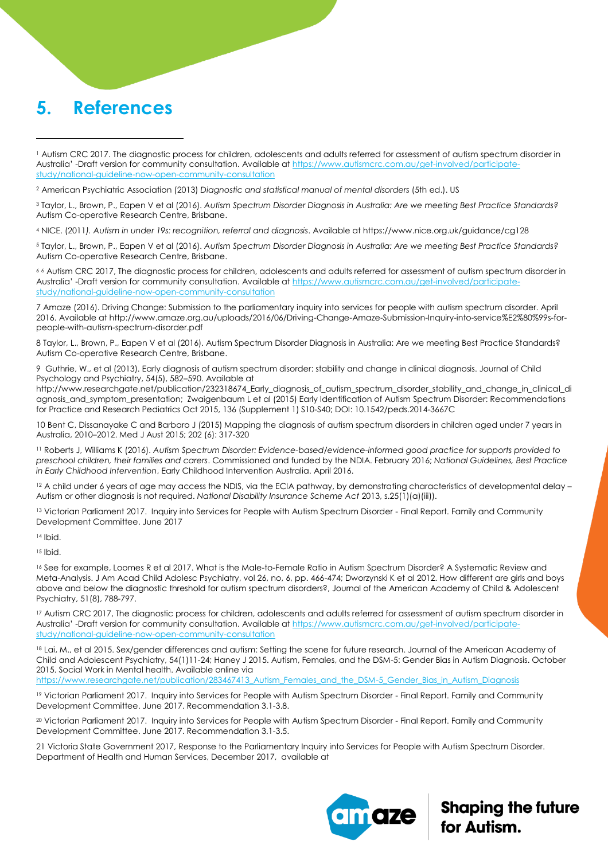## **5. References**

 $\overline{a}$ 

<sup>3</sup> Taylor, L., Brown, P., Eapen V et al (2016). *Autism Spectrum Disorder Diagnosis in Australia: Are we meeting Best Practice Standards?*  Autism Co-operative Research Centre, Brisbane.

<sup>4</sup> NICE. (2011*). Autism in under 19s: recognition, referral and diagnosis*. Available at https://www.nice.org.uk/guidance/cg128

<sup>5</sup> Taylor, L., Brown, P., Eapen V et al (2016). *Autism Spectrum Disorder Diagnosis in Australia: Are we meeting Best Practice Standards?*  Autism Co-operative Research Centre, Brisbane.

<sup>6</sup> <sup>6</sup> Autism CRC 2017, The diagnostic process for children, adolescents and adults referred for assessment of autism spectrum disorder in Australia' -Draft version for community consultation. Available at [https://www.autismcrc.com.au/get-involved/participate](https://www.autismcrc.com.au/get-involved/participate-study/national-guideline-now-open-community-consultation)[study/national-guideline-now-open-community-consultation](https://www.autismcrc.com.au/get-involved/participate-study/national-guideline-now-open-community-consultation)

7 Amaze (2016). Driving Change: Submission to the parliamentary inquiry into services for people with autism spectrum disorder. April 2016. Available at [http://www.amaze.org.au/uploads/2016/06/Driving-Change-Amaze-Submission-Inquiry-into-service%E2%80%99s-for](http://www.amaze.org.au/uploads/2016/06/Driving-Change-Amaze-Submission-Inquiry-into-service%E2%80%99s-for-people-with-autism-spectrum-disorder.pdf)[people-with-autism-spectrum-disorder.pdf](http://www.amaze.org.au/uploads/2016/06/Driving-Change-Amaze-Submission-Inquiry-into-service%E2%80%99s-for-people-with-autism-spectrum-disorder.pdf) 

8 Taylor, L., Brown, P., Eapen V et al (2016). Autism Spectrum Disorder Diagnosis in Australia: Are we meeting Best Practice Standards? Autism Co-operative Research Centre, Brisbane.

9 Guthrie, W., et al (2013). Early diagnosis of autism spectrum disorder: stability and change in clinical diagnosis. Journal of Child Psychology and Psychiatry, 54(5), 582–590. Available at

[http://www.researchgate.net/publication/232318674\\_Early\\_diagnosis\\_of\\_autism\\_spectrum\\_disorder\\_stability\\_and\\_change\\_in\\_clinical\\_di](http://www.researchgate.net/publication/232318674_Early_diagnosis_of_autism_spectrum_disorder_stability_and_change_in_clinical_diagnosis_and_symptom_presentation) agnosis and symptom presentation; Zwaigenbaum L et al (2015) Early Identification of Autism Spectrum Disorder: Recommendations for Practice and Research Pediatrics Oct 2015, 136 (Supplement 1) S10-S40; DOI: 10.1542/peds.2014-3667C

10 Bent C, Dissanayake C and Barbaro J (2015) Mapping the diagnosis of autism spectrum disorders in children aged under 7 years in Australia, 2010–2012. Med J Aust 2015; 202 (6): 317-320

<sup>11</sup> Roberts J, Williams K (2016). *Autism Spectrum Disorder: Evidence-based/evidence-informed good practice for supports provided to preschool children, their families and carers*. Commissioned and funded by the NDIA. February 2016; *National Guidelines, Best Practice in Early Childhood Intervention*, Early Childhood Intervention Australia. April 2016.

<sup>12</sup> A child under 6 years of age may access the NDIS, via the ECIA pathway, by demonstrating characteristics of developmental delay -Autism or other diagnosis is not required. *National Disability Insurance Scheme Act* 2013, s.25(1)(a)(iii)).

13 Victorian Parliament 2017. Inquiry into Services for People with Autism Spectrum Disorder - Final Report. Family and Community Development Committee. June 2017

<sup>14</sup> Ibid.

<sup>15</sup> Ibid.

<sup>16</sup> See for example, Loomes R et al 2017. What is the Male-to-Female Ratio in Autism Spectrum Disorder? A Systematic Review and Meta-Analysis. J Am Acad Child Adolesc Psychiatry, vol 26, no, 6, pp. 466-474; Dworzynski K et al 2012. How different are girls and boys above and below the diagnostic threshold for autism spectrum disorders?, Journal of the American Academy of Child & Adolescent Psychiatry, 51(8), 788-797.

<sup>17</sup> Autism CRC 2017, The diagnostic process for children, adolescents and adults referred for assessment of autism spectrum disorder in Australia' -Draft version for community consultation. Available at [https://www.autismcrc.com.au/get-involved/participate](https://www.autismcrc.com.au/get-involved/participate-study/national-guideline-now-open-community-consultation)[study/national-guideline-now-open-community-consultation](https://www.autismcrc.com.au/get-involved/participate-study/national-guideline-now-open-community-consultation)

18 Lai, M., et al 2015. Sex/gender differences and autism: Setting the scene for future research. Journal of the American Academy of Child and Adolescent Psychiatry, 54(1)11-24; Haney J 2015. Autism, Females, and the DSM-5: Gender Bias in Autism Diagnosis. October 2015. Social Work in Mental health. Available online via

[https://www.researchgate.net/publication/283467413\\_Autism\\_Females\\_and\\_the\\_DSM-5\\_Gender\\_Bias\\_in\\_Autism\\_Diagnosis](https://www.researchgate.net/publication/283467413_Autism_Females_and_the_DSM-5_Gender_Bias_in_Autism_Diagnosis)

<sup>19</sup> Victorian Parliament 2017. Inquiry into Services for People with Autism Spectrum Disorder - Final Report. Family and Community Development Committee. June 2017. Recommendation 3.1-3.8.

<sup>20</sup> Victorian Parliament 2017. Inquiry into Services for People with Autism Spectrum Disorder - Final Report. Family and Community Development Committee. June 2017. Recommendation 3.1-3.5.

21 Victoria State Government 2017, Response to the Parliamentary Inquiry into Services for People with Autism Spectrum Disorder. Department of Health and Human Services, December 2017, available at



<sup>1</sup> Autism CRC 2017. The diagnostic process for children, adolescents and adults referred for assessment of autism spectrum disorder in Australia' -Draft version for community consultation. Available at [https://www.autismcrc.com.au/get-involved/participate](https://www.autismcrc.com.au/get-involved/participate-study/national-guideline-now-open-community-consultation)[study/national-guideline-now-open-community-consultation](https://www.autismcrc.com.au/get-involved/participate-study/national-guideline-now-open-community-consultation)

<sup>2</sup> American Psychiatric Association (2013) *Diagnostic and statistical manual of mental disorders* (5th ed.). US